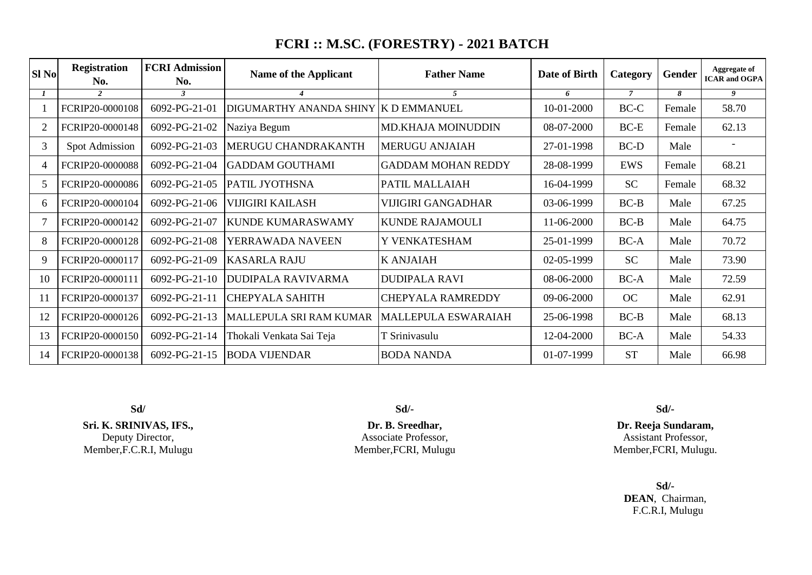## **FCRI :: M.SC. (FORESTRY) - 2021 BATCH**

| <b>SI No</b> | <b>Registration</b><br>No. | <b>FCRI Admission</b><br>No. | Name of the Applicant<br><b>Father Name</b> |                            | Date of Birth | Category       | <b>Gender</b> | Aggregate of<br><b>ICAR</b> and OGPA |
|--------------|----------------------------|------------------------------|---------------------------------------------|----------------------------|---------------|----------------|---------------|--------------------------------------|
|              | $\overline{2}$             | $\mathbf{3}$                 |                                             | 5                          | 6             | $\overline{7}$ | 8             | $\overline{9}$                       |
|              | FCRIP20-0000108            | 6092-PG-21-01                | DIGUMARTHY ANANDA SHINY K D EMMANUEL        |                            | 10-01-2000    | BC-C           | Female        | 58.70                                |
|              | FCRIP20-0000148            | 6092-PG-21-02                | Naziya Begum                                | MD.KHAJA MOINUDDIN         | 08-07-2000    | $BC-E$         | Female        | 62.13                                |
| 3            | Spot Admission             | 6092-PG-21-03                | MERUGU CHANDRAKANTH                         | <b>MERUGU ANJAIAH</b>      | 27-01-1998    | BC-D           | Male          |                                      |
| 4            | FCRIP20-0000088            | 6092-PG-21-04                | <b>GADDAM GOUTHAMI</b>                      | <b>GADDAM MOHAN REDDY</b>  | 28-08-1999    | <b>EWS</b>     | Female        | 68.21                                |
|              | FCRIP20-0000086            | 6092-PG-21-05                | <b>PATIL JYOTHSNA</b>                       | PATIL MALLAIAH             | 16-04-1999    | <b>SC</b>      | Female        | 68.32                                |
| 6.           | FCRIP20-0000104            | 6092-PG-21-06                | <b>VIJIGIRI KAILASH</b>                     | <b>VIJIGIRI GANGADHAR</b>  | 03-06-1999    | $BC-B$         | Male          | 67.25                                |
|              | FCRIP20-0000142            | 6092-PG-21-07                | <b>KUNDE KUMARASWAMY</b>                    | <b>KUNDE RAJAMOULI</b>     | 11-06-2000    | $BC-B$         | Male          | 64.75                                |
| 8            | FCRIP20-0000128            | 6092-PG-21-08                | YERRAWADA NAVEEN                            | Y VENKATESHAM              | 25-01-1999    | $BC-A$         | Male          | 70.72                                |
| 9            | FCRIP20-0000117            | 6092-PG-21-09                | <b>KASARLA RAJU</b>                         | <b>K ANJAIAH</b>           | 02-05-1999    | <b>SC</b>      | Male          | 73.90                                |
| 10           | FCRIP20-0000111            | $6092-PG-21-10$              | <b>DUDIPALA RAVIVARMA</b>                   | <b>DUDIPALA RAVI</b>       | 08-06-2000    | $BC-A$         | Male          | 72.59                                |
| 11           | FCRIP20-0000137            | 6092-PG-21-11                | <b>CHEPYALA SAHITH</b>                      | <b>CHEPYALA RAMREDDY</b>   | 09-06-2000    | OC             | Male          | 62.91                                |
|              | FCRIP20-0000126            | 6092-PG-21-13                | MALLEPULA SRI RAM KUMAR                     | <b>MALLEPULA ESWARAIAH</b> | 25-06-1998    | $BC-B$         | Male          | 68.13                                |
| 13           | FCRIP20-0000150            | 6092-PG-21-14                | Thokali Venkata Sai Teja                    | T Srinivasulu              | 12-04-2000    | $BC-A$         | Male          | 54.33                                |
| 14           | FCRIP20-0000138            | 6092-PG-21-15                | <b>BODA VIJENDAR</b>                        | <b>BODA NANDA</b>          | 01-07-1999    | <b>ST</b>      | Male          | 66.98                                |

**Sri. K. SRINIVAS, IFS.,** Deputy Director, Member,F.C.R.I, Mulugu

**Sd/ Sd/- Sd/-**

**Dr. B. Sreedhar,** Associate Professor, Member,FCRI, Mulugu

**Dr. Reeja Sundaram,** Assistant Professor, Member,FCRI, Mulugu.

### **Sd/- DEAN**, Chairman, F.C.R.I, Mulugu